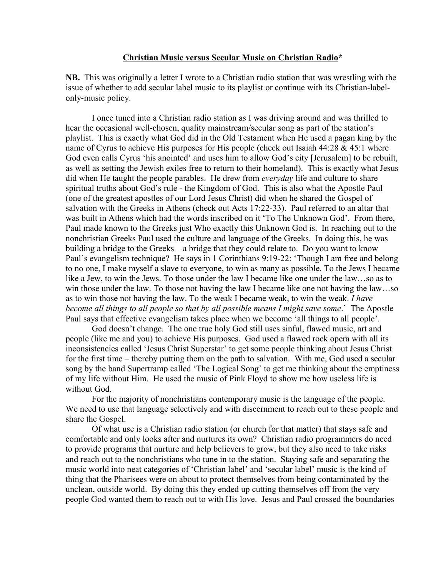## **Christian Music versus Secular Music on Christian Radio\***

**NB.** This was originally a letter I wrote to a Christian radio station that was wrestling with the issue of whether to add secular label music to its playlist or continue with its Christian-labelonly-music policy.

I once tuned into a Christian radio station as I was driving around and was thrilled to hear the occasional well-chosen, quality mainstream/secular song as part of the station's playlist. This is exactly what God did in the Old Testament when He used a pagan king by the name of Cyrus to achieve His purposes for His people (check out Isaiah 44:28 & 45:1 where God even calls Cyrus 'his anointed' and uses him to allow God's city [Jerusalem] to be rebuilt, as well as setting the Jewish exiles free to return to their homeland). This is exactly what Jesus did when He taught the people parables. He drew from *everyday* life and culture to share spiritual truths about God's rule - the Kingdom of God. This is also what the Apostle Paul (one of the greatest apostles of our Lord Jesus Christ) did when he shared the Gospel of salvation with the Greeks in Athens (check out Acts 17:22-33). Paul referred to an altar that was built in Athens which had the words inscribed on it 'To The Unknown God'. From there, Paul made known to the Greeks just Who exactly this Unknown God is. In reaching out to the nonchristian Greeks Paul used the culture and language of the Greeks. In doing this, he was building a bridge to the Greeks – a bridge that they could relate to. Do you want to know Paul's evangelism technique? He says in 1 Corinthians 9:19-22: 'Though I am free and belong to no one, I make myself a slave to everyone, to win as many as possible. To the Jews I became like a Jew, to win the Jews. To those under the law I became like one under the law…so as to win those under the law. To those not having the law I became like one not having the law…so as to win those not having the law. To the weak I became weak, to win the weak. *I have become all things to all people so that by all possible means I might save some*.' The Apostle Paul says that effective evangelism takes place when we become 'all things to all people'.

God doesn't change. The one true holy God still uses sinful, flawed music, art and people (like me and you) to achieve His purposes. God used a flawed rock opera with all its inconsistencies called 'Jesus Christ Superstar' to get some people thinking about Jesus Christ for the first time – thereby putting them on the path to salvation. With me, God used a secular song by the band Supertramp called 'The Logical Song' to get me thinking about the emptiness of my life without Him. He used the music of Pink Floyd to show me how useless life is without God.

For the majority of nonchristians contemporary music is the language of the people. We need to use that language selectively and with discernment to reach out to these people and share the Gospel.

Of what use is a Christian radio station (or church for that matter) that stays safe and comfortable and only looks after and nurtures its own? Christian radio programmers do need to provide programs that nurture and help believers to grow, but they also need to take risks and reach out to the nonchristians who tune in to the station. Staying safe and separating the music world into neat categories of 'Christian label' and 'secular label' music is the kind of thing that the Pharisees were on about to protect themselves from being contaminated by the unclean, outside world. By doing this they ended up cutting themselves off from the very people God wanted them to reach out to with His love. Jesus and Paul crossed the boundaries